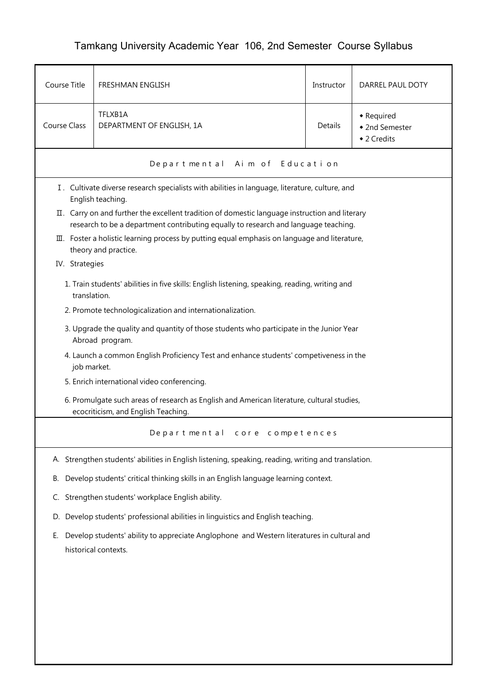## Tamkang University Academic Year 106, 2nd Semester Course Syllabus

| Course Title        | FRESHMAN ENGLISH                                                                                                                                                                      | Instructor | DARREL PAUL DOTY                            |  |  |
|---------------------|---------------------------------------------------------------------------------------------------------------------------------------------------------------------------------------|------------|---------------------------------------------|--|--|
| <b>Course Class</b> | TFLXB1A<br>DEPARTMENT OF ENGLISH, 1A                                                                                                                                                  | Details    | • Required<br>• 2nd Semester<br>◆ 2 Credits |  |  |
|                     | Departmental Aim of Education                                                                                                                                                         |            |                                             |  |  |
|                     | I. Cultivate diverse research specialists with abilities in language, literature, culture, and<br>English teaching.                                                                   |            |                                             |  |  |
|                     | II. Carry on and further the excellent tradition of domestic language instruction and literary<br>research to be a department contributing equally to research and language teaching. |            |                                             |  |  |
|                     | III. Foster a holistic learning process by putting equal emphasis on language and literature,<br>theory and practice.                                                                 |            |                                             |  |  |
| IV. Strategies      |                                                                                                                                                                                       |            |                                             |  |  |
| translation.        | 1. Train students' abilities in five skills: English listening, speaking, reading, writing and                                                                                        |            |                                             |  |  |
|                     | 2. Promote technologicalization and internationalization.                                                                                                                             |            |                                             |  |  |
|                     | 3. Upgrade the quality and quantity of those students who participate in the Junior Year<br>Abroad program.                                                                           |            |                                             |  |  |
|                     | 4. Launch a common English Proficiency Test and enhance students' competiveness in the<br>job market.                                                                                 |            |                                             |  |  |
|                     | 5. Enrich international video conferencing.                                                                                                                                           |            |                                             |  |  |
|                     | 6. Promulgate such areas of research as English and American literature, cultural studies,<br>ecocriticism, and English Teaching.                                                     |            |                                             |  |  |
|                     | Departmental core competences                                                                                                                                                         |            |                                             |  |  |
|                     | A. Strengthen students' abilities in English listening, speaking, reading, writing and translation.                                                                                   |            |                                             |  |  |
| В.                  | Develop students' critical thinking skills in an English language learning context.                                                                                                   |            |                                             |  |  |
| C.                  | Strengthen students' workplace English ability.                                                                                                                                       |            |                                             |  |  |
| D.                  | Develop students' professional abilities in linguistics and English teaching.                                                                                                         |            |                                             |  |  |
| Е.                  | Develop students' ability to appreciate Anglophone and Western literatures in cultural and<br>historical contexts.                                                                    |            |                                             |  |  |
|                     |                                                                                                                                                                                       |            |                                             |  |  |
|                     |                                                                                                                                                                                       |            |                                             |  |  |
|                     |                                                                                                                                                                                       |            |                                             |  |  |
|                     |                                                                                                                                                                                       |            |                                             |  |  |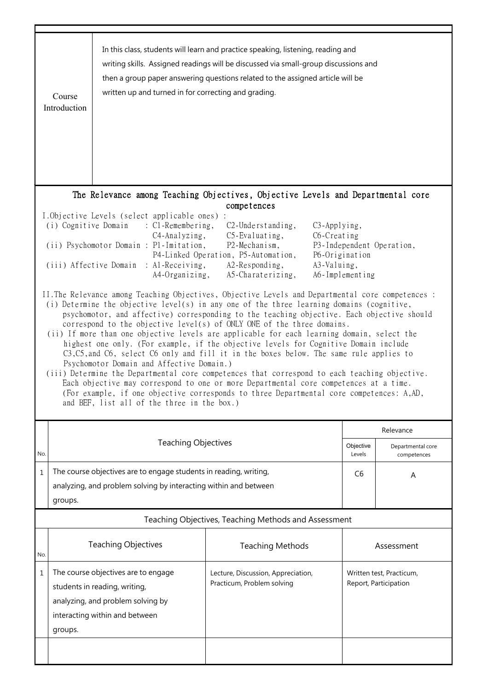|                                                                                                                                                                                                                                                                                                                                                                                                                                                                                                                                                                                                                                                                                                                                                                                                                                                                                                                                                                                                                                           | In this class, students will learn and practice speaking, listening, reading and<br>writing skills. Assigned readings will be discussed via small-group discussions and<br>then a group paper answering questions related to the assigned article will be<br>written up and turned in for correcting and grading.<br>Course<br>Introduction                                                                                                                                                            |                                                                                                                                             |                                                                                                |                |                                                   |  |  |
|-------------------------------------------------------------------------------------------------------------------------------------------------------------------------------------------------------------------------------------------------------------------------------------------------------------------------------------------------------------------------------------------------------------------------------------------------------------------------------------------------------------------------------------------------------------------------------------------------------------------------------------------------------------------------------------------------------------------------------------------------------------------------------------------------------------------------------------------------------------------------------------------------------------------------------------------------------------------------------------------------------------------------------------------|--------------------------------------------------------------------------------------------------------------------------------------------------------------------------------------------------------------------------------------------------------------------------------------------------------------------------------------------------------------------------------------------------------------------------------------------------------------------------------------------------------|---------------------------------------------------------------------------------------------------------------------------------------------|------------------------------------------------------------------------------------------------|----------------|---------------------------------------------------|--|--|
|                                                                                                                                                                                                                                                                                                                                                                                                                                                                                                                                                                                                                                                                                                                                                                                                                                                                                                                                                                                                                                           |                                                                                                                                                                                                                                                                                                                                                                                                                                                                                                        |                                                                                                                                             | The Relevance among Teaching Objectives, Objective Levels and Departmental core<br>competences |                |                                                   |  |  |
|                                                                                                                                                                                                                                                                                                                                                                                                                                                                                                                                                                                                                                                                                                                                                                                                                                                                                                                                                                                                                                           | I.Objective Levels (select applicable ones) :<br>(i) Cognitive Domain<br>$\therefore$ C1-Remembering,<br>$C2$ -Understanding,<br>C <sub>3</sub> -Applying,<br>C6-Creating<br>C4-Analyzing,<br>$C5$ -Evaluating,<br>(ii) Psychomotor Domain : P1-Imitation,<br>P2-Mechanism,<br>P3-Independent Operation,<br>P4-Linked Operation, P5-Automation,<br>P6-Origination<br>(iii) Affective Domain : Al-Receiving,<br>A2-Responding,<br>A3-Valuing,<br>A5-Charaterizing,<br>A4-Organizing,<br>A6-Implementing |                                                                                                                                             |                                                                                                |                |                                                   |  |  |
| II. The Relevance among Teaching Objectives, Objective Levels and Departmental core competences :<br>(i) Determine the objective level(s) in any one of the three learning domains (cognitive,<br>psychomotor, and affective) corresponding to the teaching objective. Each objective should<br>correspond to the objective level(s) of ONLY ONE of the three domains.<br>(ii) If more than one objective levels are applicable for each learning domain, select the<br>highest one only. (For example, if the objective levels for Cognitive Domain include<br>C3, C5, and C6, select C6 only and fill it in the boxes below. The same rule applies to<br>Psychomotor Domain and Affective Domain.)<br>(iii) Determine the Departmental core competences that correspond to each teaching objective.<br>Each objective may correspond to one or more Departmental core competences at a time.<br>(For example, if one objective corresponds to three Departmental core competences: A,AD,<br>and BEF, list all of the three in the box.) |                                                                                                                                                                                                                                                                                                                                                                                                                                                                                                        |                                                                                                                                             |                                                                                                |                |                                                   |  |  |
|                                                                                                                                                                                                                                                                                                                                                                                                                                                                                                                                                                                                                                                                                                                                                                                                                                                                                                                                                                                                                                           |                                                                                                                                                                                                                                                                                                                                                                                                                                                                                                        | <b>Teaching Objectives</b>                                                                                                                  |                                                                                                |                | Relevance                                         |  |  |
| No.                                                                                                                                                                                                                                                                                                                                                                                                                                                                                                                                                                                                                                                                                                                                                                                                                                                                                                                                                                                                                                       |                                                                                                                                                                                                                                                                                                                                                                                                                                                                                                        |                                                                                                                                             |                                                                                                |                | Departmental core<br>competences                  |  |  |
| 1                                                                                                                                                                                                                                                                                                                                                                                                                                                                                                                                                                                                                                                                                                                                                                                                                                                                                                                                                                                                                                         | groups.                                                                                                                                                                                                                                                                                                                                                                                                                                                                                                | The course objectives are to engage students in reading, writing,<br>analyzing, and problem solving by interacting within and between       |                                                                                                | C <sub>6</sub> | Α                                                 |  |  |
|                                                                                                                                                                                                                                                                                                                                                                                                                                                                                                                                                                                                                                                                                                                                                                                                                                                                                                                                                                                                                                           |                                                                                                                                                                                                                                                                                                                                                                                                                                                                                                        |                                                                                                                                             | Teaching Objectives, Teaching Methods and Assessment                                           |                |                                                   |  |  |
| No.                                                                                                                                                                                                                                                                                                                                                                                                                                                                                                                                                                                                                                                                                                                                                                                                                                                                                                                                                                                                                                       |                                                                                                                                                                                                                                                                                                                                                                                                                                                                                                        | <b>Teaching Objectives</b>                                                                                                                  | <b>Teaching Methods</b>                                                                        |                | Assessment                                        |  |  |
| 1                                                                                                                                                                                                                                                                                                                                                                                                                                                                                                                                                                                                                                                                                                                                                                                                                                                                                                                                                                                                                                         | groups.                                                                                                                                                                                                                                                                                                                                                                                                                                                                                                | The course objectives are to engage<br>students in reading, writing,<br>analyzing, and problem solving by<br>interacting within and between | Lecture, Discussion, Appreciation,<br>Practicum, Problem solving                               |                | Written test, Practicum,<br>Report, Participation |  |  |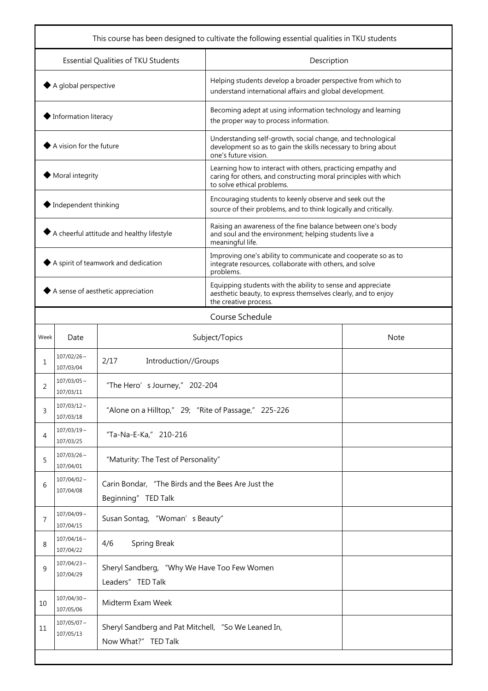|                                                           |                               |                                                                            |                                                                                                                                                               | This course has been designed to cultivate the following essential qualities in TKU students |  |
|-----------------------------------------------------------|-------------------------------|----------------------------------------------------------------------------|---------------------------------------------------------------------------------------------------------------------------------------------------------------|----------------------------------------------------------------------------------------------|--|
| Essential Qualities of TKU Students                       |                               |                                                                            | Description                                                                                                                                                   |                                                                                              |  |
| $\blacklozenge$ A global perspective                      |                               |                                                                            | Helping students develop a broader perspective from which to<br>understand international affairs and global development.                                      |                                                                                              |  |
| ♦ Information literacy                                    |                               |                                                                            | Becoming adept at using information technology and learning<br>the proper way to process information.                                                         |                                                                                              |  |
| A vision for the future                                   |                               |                                                                            | Understanding self-growth, social change, and technological<br>development so as to gain the skills necessary to bring about<br>one's future vision.          |                                                                                              |  |
| Moral integrity                                           |                               |                                                                            | Learning how to interact with others, practicing empathy and<br>caring for others, and constructing moral principles with which<br>to solve ethical problems. |                                                                                              |  |
| $\blacklozenge$ Independent thinking                      |                               |                                                                            | Encouraging students to keenly observe and seek out the<br>source of their problems, and to think logically and critically.                                   |                                                                                              |  |
| $\blacklozenge$ A cheerful attitude and healthy lifestyle |                               |                                                                            | Raising an awareness of the fine balance between one's body<br>and soul and the environment; helping students live a<br>meaningful life.                      |                                                                                              |  |
| A spirit of teamwork and dedication                       |                               |                                                                            | Improving one's ability to communicate and cooperate so as to<br>integrate resources, collaborate with others, and solve<br>problems.                         |                                                                                              |  |
| A sense of aesthetic appreciation                         |                               |                                                                            | Equipping students with the ability to sense and appreciate<br>aesthetic beauty, to express themselves clearly, and to enjoy<br>the creative process.         |                                                                                              |  |
|                                                           |                               |                                                                            | Course Schedule                                                                                                                                               |                                                                                              |  |
| Week                                                      | Date                          | Subject/Topics                                                             | <b>Note</b>                                                                                                                                                   |                                                                                              |  |
| 1                                                         | $107/02/26$ ~<br>107/03/04    | 2/17<br>Introduction//Groups                                               |                                                                                                                                                               |                                                                                              |  |
| 2                                                         | $107/03/05$ ~<br>107/03/11    | "The Hero' s Journey," 202-204                                             |                                                                                                                                                               |                                                                                              |  |
| 3                                                         | $107/03/12 \sim$<br>107/03/18 | "Alone on a Hilltop," 29; "Rite of Passage," 225-226                       |                                                                                                                                                               |                                                                                              |  |
| 4                                                         | $107/03/19$ ~<br>107/03/25    | "Ta-Na-E-Ka," 210-216                                                      |                                                                                                                                                               |                                                                                              |  |
| 5                                                         | $107/03/26$ ~<br>107/04/01    | "Maturity: The Test of Personality"                                        |                                                                                                                                                               |                                                                                              |  |
| 6                                                         | $107/04/02 \sim$<br>107/04/08 | Carin Bondar, "The Birds and the Bees Are Just the<br>Beginning" TED Talk  |                                                                                                                                                               |                                                                                              |  |
| 7                                                         | $107/04/09$ ~<br>107/04/15    | Susan Sontag, "Woman's Beauty"                                             |                                                                                                                                                               |                                                                                              |  |
| 8                                                         | $107/04/16 \sim$<br>107/04/22 | <b>Spring Break</b><br>4/6                                                 |                                                                                                                                                               |                                                                                              |  |
| 9                                                         | $107/04/23$ ~<br>107/04/29    | Sheryl Sandberg, "Why We Have Too Few Women<br>Leaders" TED Talk           |                                                                                                                                                               |                                                                                              |  |
| 10                                                        | $107/04/30$ ~<br>107/05/06    | Midterm Exam Week                                                          |                                                                                                                                                               |                                                                                              |  |
| 11                                                        | $107/05/07$ ~<br>107/05/13    | Sheryl Sandberg and Pat Mitchell, "So We Leaned In,<br>Now What?" TED Talk |                                                                                                                                                               |                                                                                              |  |